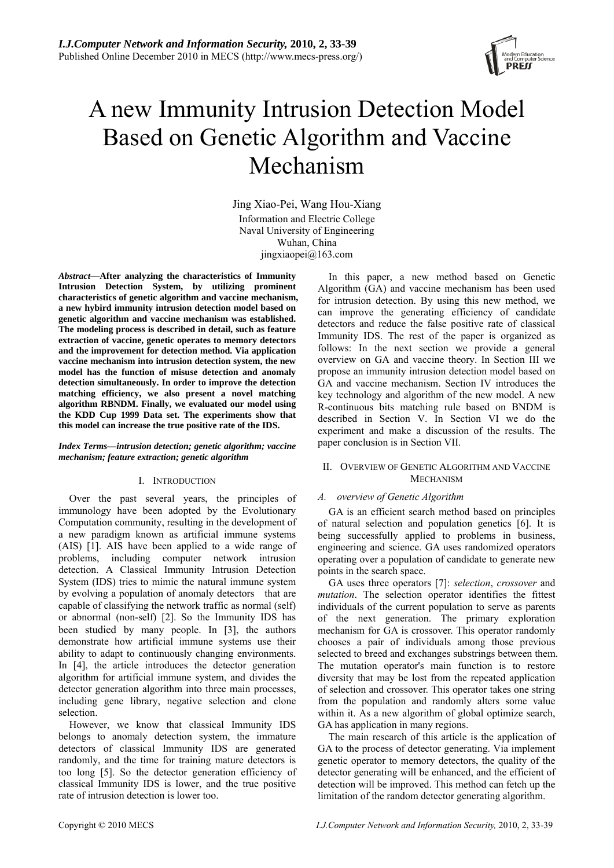

# A new Immunity Intrusion Detection Model Based on Genetic Algorithm and Vaccine Mechanism

Jing Xiao-Pei, Wang Hou-Xiang Information and Electric College Naval University of Engineering Wuhan, China jingxiaopei@163.com

*Abstract***—After analyzing the characteristics of Immunity Intrusion Detection System, by utilizing prominent characteristics of genetic algorithm and vaccine mechanism, a new hybird immunity intrusion detection model based on genetic algorithm and vaccine mechanism was established. The modeling process is described in detail, such as feature extraction of vaccine, genetic operates to memory detectors and the improvement for detection method. Via application vaccine mechanism into intrusion detection system, the new model has the function of misuse detection and anomaly detection simultaneously. In order to improve the detection matching efficiency, we also present a novel matching algorithm RBNDM. Finally, we evaluated our model using the KDD Cup 1999 Data set. The experiments show that this model can increase the true positive rate of the IDS.** 

## *Index Terms—intrusion detection; genetic algorithm; vaccine mechanism; feature extraction; genetic algorithm*

# I. INTRODUCTION

Over the past several years, the principles of immunology have been adopted by the Evolutionary Computation community, resulting in the development of a new paradigm known as artificial immune systems (AIS) [1]. AIS have been applied to a wide range of problems, including computer network intrusion detection. A Classical Immunity Intrusion Detection System (IDS) tries to mimic the natural immune system by evolving a population of anomaly detectors that are capable of classifying the network traffic as normal (self) or abnormal (non-self) [2]. So the Immunity IDS has been studied by many people. In [3], the authors demonstrate how artificial immune systems use their ability to adapt to continuously changing environments. In [4], the article introduces the detector generation algorithm for artificial immune system, and divides the detector generation algorithm into three main processes, including gene library, negative selection and clone selection.

However, we know that classical Immunity IDS belongs to anomaly detection system, the immature detectors of classical Immunity IDS are generated randomly, and the time for training mature detectors is too long [5]. So the detector generation efficiency of classical Immunity IDS is lower, and the true positive rate of intrusion detection is lower too.

In this paper, a new method based on Genetic Algorithm (GA) and vaccine mechanism has been used for intrusion detection. By using this new method, we can improve the generating efficiency of candidate detectors and reduce the false positive rate of classical Immunity IDS. The rest of the paper is organized as follows: In the next section we provide a general overview on GA and vaccine theory. In Section III we propose an immunity intrusion detection model based on GA and vaccine mechanism. Section IV introduces the key technology and algorithm of the new model. A new R-continuous bits matching rule based on BNDM is described in Section V. In Section VI we do the experiment and make a discussion of the results. The paper conclusion is in Section VII.

# II. OVERVIEW OF GENETIC ALGORITHM AND VACCINE MECHANISM

# *A. overview of Genetic Algorithm*

GA is an efficient search method based on principles of natural selection and population genetics [6]. It is being successfully applied to problems in business, engineering and science. GA uses randomized operators operating over a population of candidate to generate new points in the search space.

GA uses three operators [7]: *selection*, *crossover* and *mutation*. The selection operator identifies the fittest individuals of the current population to serve as parents of the next generation. The primary exploration mechanism for GA is crossover. This operator randomly chooses a pair of individuals among those previous selected to breed and exchanges substrings between them. The mutation operator's main function is to restore diversity that may be lost from the repeated application of selection and crossover. This operator takes one string from the population and randomly alters some value within it. As a new algorithm of global optimize search, GA has application in many regions.

The main research of this article is the application of GA to the process of detector generating. Via implement genetic operator to memory detectors, the quality of the detector generating will be enhanced, and the efficient of detection will be improved. This method can fetch up the limitation of the random detector generating algorithm.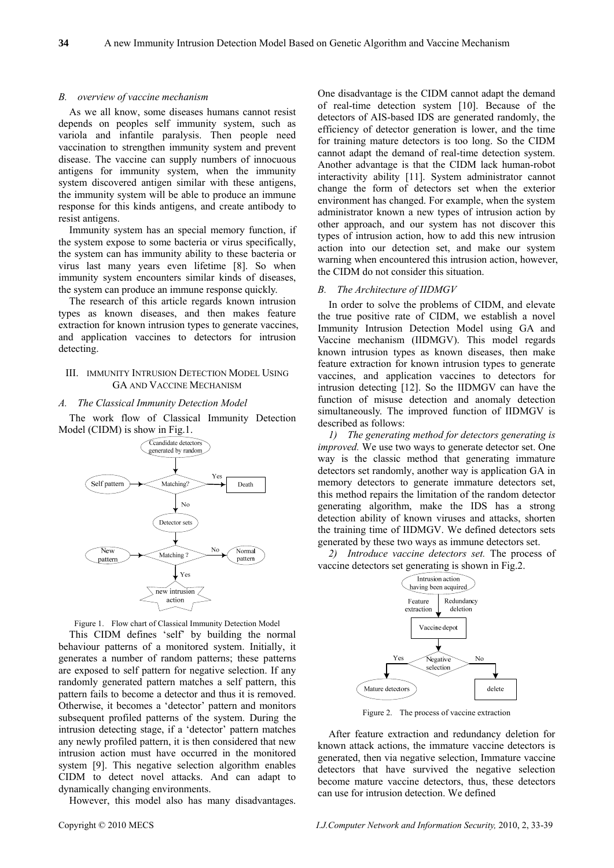#### *B. overview of vaccine mechanism*

As we all know, some diseases humans cannot resist depends on peoples self immunity system, such as variola and infantile paralysis. Then people need vaccination to strengthen immunity system and prevent disease. The vaccine can supply numbers of innocuous antigens for immunity system, when the immunity system discovered antigen similar with these antigens, the immunity system will be able to produce an immune response for this kinds antigens, and create antibody to resist antigens.

Immunity system has an special memory function, if the system expose to some bacteria or virus specifically, the system can has immunity ability to these bacteria or virus last many years even lifetime [8]. So when immunity system encounters similar kinds of diseases, the system can produce an immune response quickly.

The research of this article regards known intrusion types as known diseases, and then makes feature extraction for known intrusion types to generate vaccines, and application vaccines to detectors for intrusion detecting.

## III. IMMUNITY INTRUSION DETECTION MODEL USING GA AND VACCINE MECHANISM

#### *A. The Classical Immunity Detection Model*

The work flow of Classical Immunity Detection Model (CIDM) is show in Fig.1.



Figure 1. Flow chart of Classical Immunity Detection Model

This CIDM defines 'self' by building the normal behaviour patterns of a monitored system. Initially, it generates a number of random patterns; these patterns are exposed to self pattern for negative selection. If any randomly generated pattern matches a self pattern, this pattern fails to become a detector and thus it is removed. Otherwise, it becomes a 'detector' pattern and monitors subsequent profiled patterns of the system. During the intrusion detecting stage, if a 'detector' pattern matches any newly profiled pattern, it is then considered that new intrusion action must have occurred in the monitored system [9]. This negative selection algorithm enables CIDM to detect novel attacks. And can adapt to dynamically changing environments.

However, this model also has many disadvantages.

One disadvantage is the CIDM cannot adapt the demand of real-time detection system [10]. Because of the detectors of AIS-based IDS are generated randomly, the efficiency of detector generation is lower, and the time for training mature detectors is too long. So the CIDM cannot adapt the demand of real-time detection system. Another advantage is that the CIDM lack human-robot interactivity ability [11]. System administrator cannot change the form of detectors set when the exterior environment has changed. For example, when the system administrator known a new types of intrusion action by other approach, and our system has not discover this types of intrusion action, how to add this new intrusion action into our detection set, and make our system warning when encountered this intrusion action, however, the CIDM do not consider this situation.

#### *B. The Architecture of IIDMGV*

In order to solve the problems of CIDM, and elevate the true positive rate of CIDM, we establish a novel Immunity Intrusion Detection Model using GA and Vaccine mechanism (IIDMGV). This model regards known intrusion types as known diseases, then make feature extraction for known intrusion types to generate vaccines, and application vaccines to detectors for intrusion detecting [12]. So the IIDMGV can have the function of misuse detection and anomaly detection simultaneously. The improved function of IIDMGV is described as follows:

*1) The generating method for detectors generating is improved.* We use two ways to generate detector set. One way is the classic method that generating immature detectors set randomly, another way is application GA in memory detectors to generate immature detectors set, this method repairs the limitation of the random detector generating algorithm, make the IDS has a strong detection ability of known viruses and attacks, shorten the training time of IIDMGV. We defined detectors sets generated by these two ways as immune detectors set.

*2) Introduce vaccine detectors set.* The process of vaccine detectors set generating is shown in Fig.2.



Figure 2. The process of vaccine extraction

After feature extraction and redundancy deletion for known attack actions, the immature vaccine detectors is generated, then via negative selection, Immature vaccine detectors that have survived the negative selection become mature vaccine detectors, thus, these detectors can use for intrusion detection. We defined

Copyright © 2010 MECS *I.J.Computer Network and Information Security,* 2010, 2, 33-39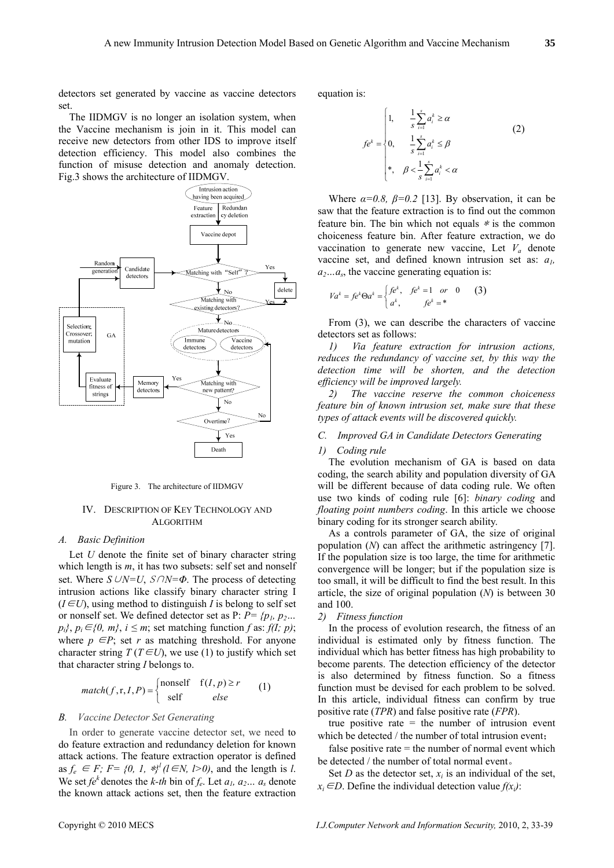detectors set generated by vaccine as vaccine detectors set.

The IIDMGV is no longer an isolation system, when the Vaccine mechanism is join in it. This model can receive new detectors from other IDS to improve itself detection efficiency. This model also combines the function of misuse detection and anomaly detection. Fig.3 shows the architecture of IIDMGV.



Figure 3. The architecture of IIDMGV

## IV. DESCRIPTION OF KEY TECHNOLOGY AND ALGORITHM

## *A. Basic Definition*

Let *U* denote the finite set of binary character string which length is *m*, it has two subsets: self set and nonself set. Where *S*∪*N=U*, S∩*N=Φ*. The process of detecting intrusion actions like classify binary character string I  $(I \in U)$ , using method to distinguish *I* is belong to self set or nonself set. We defined detector set as  $P: P = \{p_1, p_2...\}$  $p_i$ <sup>2</sup>,  $p_i \in \{0, m\}$ ,  $i \leq m$ ; set matching function *f* as:  $f(I; p)$ ; where  $p \in P$ ; set *r* as matching threshold. For anyone character string  $T(T \in U)$ , we use (1) to justify which set that character string *I* belongs to.

$$
match(f, r, I, P) = \begin{cases} \text{nonself} & f(I, p) \ge r \\ \text{self} & else \end{cases} \tag{1}
$$

# *B. Vaccine Detector Set Generating*

In order to generate vaccine detector set, we need to do feature extraction and redundancy deletion for known attack actions. The feature extraction operator is defined as  $f_e \in F$ ;  $F = \{0, 1, \frac{4}{3}^l \}$  (l  $\in N$ , l > 0), and the length is *l*. We set  $f e^{k}$  denotes the *k-th* bin of  $f_e$ . Let  $a_1, a_2, \ldots, a_s$  denote the known attack actions set, then the feature extraction

equation is:

$$
f e^{k} = \begin{cases} 1, & \frac{1}{s} \sum_{i=1}^{s} a_{i}^{k} \ge \alpha \\ 0, & \frac{1}{s} \sum_{i=1}^{s} a_{i}^{k} \le \beta \\ *, & \beta < \frac{1}{s} \sum_{i=1}^{s} a_{i}^{k} < \alpha \end{cases} \tag{2}
$$

Where  $\alpha = 0.8$ ,  $\beta = 0.2$  [13]. By observation, it can be saw that the feature extraction is to find out the common feature bin. The bin which not equals  $*$  is the common choiceness feature bin. After feature extraction, we do vaccination to generate new vaccine, Let  $V_a$  denote vaccine set, and defined known intrusion set as:  $a<sub>l</sub>$ ,  $a_2...a_s$ , the vaccine generating equation is:

$$
Va^k = fe^k \Theta a^k = \begin{cases} fe^k, & fe^k = 1 \quad \text{or} \quad 0 \quad (3) \\ a^k, & fe^k = 1 \end{cases}
$$

From (3), we can describe the characters of vaccine detectors set as follows:

*1) Via feature extraction for intrusion actions, reduces the redundancy of vaccine set, by this way the detection time will be shorten, and the detection efficiency will be improved largely.* 

*2) The vaccine reserve the common choiceness feature bin of known intrusion set, make sure that these types of attack events will be discovered quickly.* 

# *C. Improved GA in Candidate Detectors Generating*

#### *1) Coding rule*

The evolution mechanism of GA is based on data coding, the search ability and population diversity of GA will be different because of data coding rule. We often use two kinds of coding rule [6]: *binary coding* and *floating point numbers coding*. In this article we choose binary coding for its stronger search ability.

As a controls parameter of GA, the size of original population (*N*) can affect the arithmetic astringency [7]. If the population size is too large, the time for arithmetic convergence will be longer; but if the population size is too small, it will be difficult to find the best result. In this article, the size of original population (*N*) is between 30 and 100.

## *2) Fitness function*

In the process of evolution research, the fitness of an individual is estimated only by fitness function. The individual which has better fitness has high probability to become parents. The detection efficiency of the detector is also determined by fitness function. So a fitness function must be devised for each problem to be solved. In this article, individual fitness can confirm by true positive rate (*TPR*) and false positive rate (*FPR*).

true positive rate = the number of intrusion event which be detected / the number of total intrusion event;

false positive rate  $=$  the number of normal event which be detected / the number of total normal event。

Set *D* as the detector set,  $x_i$  is an individual of the set,  $x_i \in D$ . Define the individual detection value  $f(x_i)$ :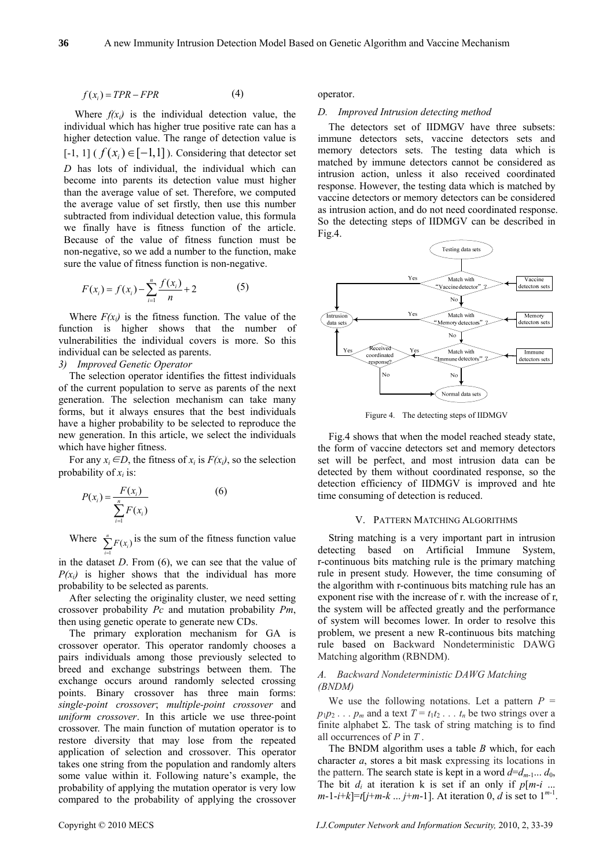$$
f(x_i) = TPR - FPR \tag{4}
$$

Where  $f(x_i)$  is the individual detection value, the individual which has higher true positive rate can has a higher detection value. The range of detection value is [-1, 1]  $(f(x_i) \in [-1,1])$ . Considering that detector set *D* has lots of individual, the individual which can become into parents its detection value must higher than the average value of set. Therefore, we computed the average value of set firstly, then use this number subtracted from individual detection value, this formula we finally have is fitness function of the article. Because of the value of fitness function must be non-negative, so we add a number to the function, make sure the value of fitness function is non-negative.

$$
F(x_i) = f(x_i) - \sum_{i=1}^{n} \frac{f(x_i)}{n} + 2
$$
 (5)

Where  $F(x_i)$  is the fitness function. The value of the function is higher shows that the number of vulnerabilities the individual covers is more. So this individual can be selected as parents.

## *3) Improved Genetic Operator*

The selection operator identifies the fittest individuals of the current population to serve as parents of the next generation. The selection mechanism can take many forms, but it always ensures that the best individuals have a higher probability to be selected to reproduce the new generation. In this article, we select the individuals which have higher fitness.

For any  $x_i \in D$ , the fitness of  $x_i$  is  $F(x_i)$ , so the selection probability of *xi* is:

$$
P(x_i) = \frac{F(x_i)}{\sum_{i=1}^{n} F(x_i)}
$$
 (6)

Where  $\sum_{i=1}^{n} F(x_i)$ 1  $\sum_{i=1}^{n} F(x_i)$  is the sum of the fitness function value *i* =

in the dataset *D*. From (6), we can see that the value of  $P(x_i)$  is higher shows that the individual has more probability to be selected as parents.

After selecting the originality cluster, we need setting crossover probability *Pc* and mutation probability *Pm*, then using genetic operate to generate new CDs.

The primary exploration mechanism for GA is crossover operator. This operator randomly chooses a pairs individuals among those previously selected to breed and exchange substrings between them. The exchange occurs around randomly selected crossing points. Binary crossover has three main forms: *single-point crossover*; *multiple-point crossover* and *uniform crossover*. In this article we use three-point crossover. The main function of mutation operator is to restore diversity that may lose from the repeated application of selection and crossover. This operator takes one string from the population and randomly alters some value within it. Following nature's example, the probability of applying the mutation operator is very low compared to the probability of applying the crossover operator.

## *D. Improved Intrusion detecting method*

The detectors set of IIDMGV have three subsets: immune detectors sets, vaccine detectors sets and memory detectors sets. The testing data which is matched by immune detectors cannot be considered as intrusion action, unless it also received coordinated response. However, the testing data which is matched by vaccine detectors or memory detectors can be considered as intrusion action, and do not need coordinated response. So the detecting steps of IIDMGV can be described in Fig.4.



Figure 4. The detecting steps of IIDMGV

Fig.4 shows that when the model reached steady state, the form of vaccine detectors set and memory detectors set will be perfect, and most intrusion data can be detected by them without coordinated response, so the detection efficiency of IIDMGV is improved and hte time consuming of detection is reduced.

#### V. PATTERN MATCHING ALGORITHMS

String matching is a very important part in intrusion detecting based on Artificial Immune System, r-continuous bits matching rule is the primary matching rule in present study. However, the time consuming of the algorithm with r-continuous bits matching rule has an exponent rise with the increase of r. with the increase of r, the system will be affected greatly and the performance of system will becomes lower. In order to resolve this problem, we present a new R-continuous bits matching rule based on Backward Nondeterministic DAWG Matching algorithm (RBNDM).

# *A. Backward Nondeterministic DAWG Matching (BNDM)*

We use the following notations. Let a pattern  $P =$  $p_1p_2 \ldots p_m$  and a text  $T = t_1t_2 \ldots t_n$  be two strings over a finite alphabet  $\Sigma$ . The task of string matching is to find all occurrences of *P* in *T* .

The BNDM algorithm uses a table *B* which, for each character *a*, stores a bit mask expressing its locations in the pattern. The search state is kept in a word  $d=d_{m-1}... d_0$ , The bit  $d_i$  at iteration k is set if an only if  $p[m-i]$ ...  $m-1-i+k$ ]= $t[j+m-k \dots j+m-1]$ . At iteration 0, *d* is set to  $1^{m-1}$ .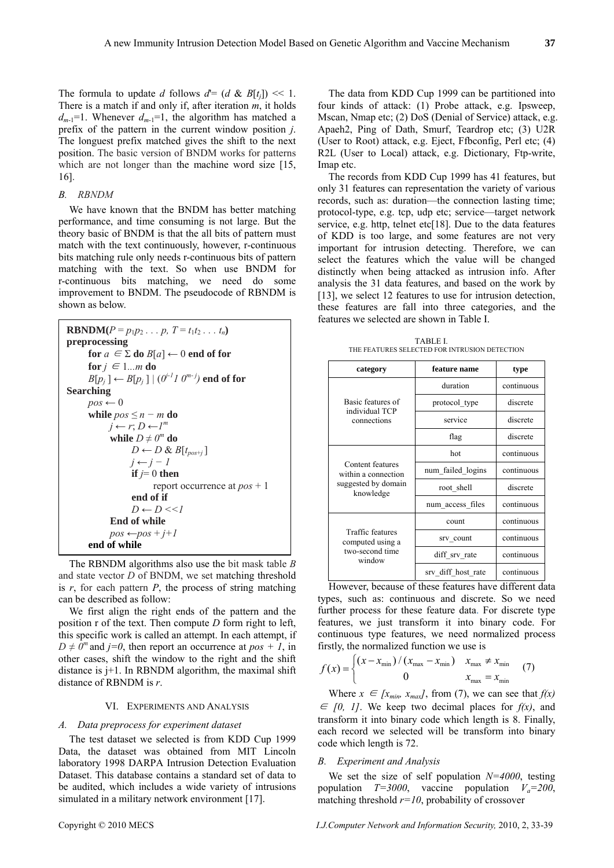The formula to update *d* follows  $d^* = (d \& B[t_i]) \leq 1$ . There is a match if and only if, after iteration *m*, it holds  $d_{m-1}=1$ . Whenever  $d_{m-1}=1$ , the algorithm has matched a prefix of the pattern in the current window position *j*. The longuest prefix matched gives the shift to the next position. The basic version of BNDM works for patterns which are not longer than the machine word size [15, 16].

## *B. RBNDM*

We have known that the BNDM has better matching performance, and time consuming is not large. But the theory basic of BNDM is that the all bits of pattern must match with the text continuously, however, r-continuous bits matching rule only needs r-continuous bits of pattern matching with the text. So when use BNDM for r-continuous bits matching, we need do some improvement to BNDM. The pseudocode of RBNDM is shown as below.

| <b>RBNDM</b> ( $P = p_1 p_2 \ldots p$ , $T = t_1 t_2 \ldots t_n$ )     |
|------------------------------------------------------------------------|
| preprocessing                                                          |
| for $a \in \Sigma$ do $B[a] \leftarrow 0$ end of for                   |
| for $j \in 1m$ do                                                      |
| $B[p_i] \leftarrow B[p_i] \mid (\theta^{i-1} \theta^{m-j})$ end of for |
| <b>Searching</b>                                                       |
| $pos \leftarrow 0$                                                     |
| while $pos \leq n - m$ do                                              |
| $i \leftarrow r: D \leftarrow l^m$                                     |
| while $D \neq 0^m$ do                                                  |
| $D \leftarrow D \& B[t_{\text{post}}]$                                 |
| $j \leftarrow j - 1$                                                   |
| if $j=0$ then                                                          |
| report occurrence at $pos + 1$                                         |
| end of if                                                              |
| $D \leftarrow D \ll 1$                                                 |
| <b>End of while</b>                                                    |
| $pos \leftarrow pos + j + l$                                           |
| end of while                                                           |

The RBNDM algorithms also use the bit mask table *B* and state vector *D* of BNDM, we set matching threshold is *r*, for each pattern *P*, the process of string matching can be described as follow:

We first align the right ends of the pattern and the position r of the text. Then compute *D* form right to left, this specific work is called an attempt. In each attempt, if  $D \neq 0^m$  and *j*=0, then report an occurrence at *pos + 1*, in other cases, shift the window to the right and the shift distance is  $j+1$ . In RBNDM algorithm, the maximal shift distance of RBNDM is *r*.

# VI. EXPERIMENTS AND ANALYSIS

#### *A. Data preprocess for experiment dataset*

The test dataset we selected is from KDD Cup 1999 Data, the dataset was obtained from MIT Lincoln laboratory 1998 DARPA Intrusion Detection Evaluation Dataset. This database contains a standard set of data to be audited, which includes a wide variety of intrusions simulated in a military network environment [17].

The data from KDD Cup 1999 can be partitioned into four kinds of attack: (1) Probe attack, e.g. Ipsweep, Mscan, Nmap etc; (2) DoS (Denial of Service) attack, e.g. Apaeh2, Ping of Dath, Smurf, Teardrop etc; (3) U2R (User to Root) attack, e.g. Eject, Ffbconfig, Perl etc; (4) R2L (User to Local) attack, e.g. Dictionary, Ftp-write, Imap etc.

The records from KDD Cup 1999 has 41 features, but only 31 features can representation the variety of various records, such as: duration—the connection lasting time; protocol-type, e.g. tcp, udp etc; service—target network service, e.g. http, telnet etc[18]. Due to the data features of KDD is too large, and some features are not very important for intrusion detecting. Therefore, we can select the features which the value will be changed distinctly when being attacked as intrusion info. After analysis the 31 data features, and based on the work by [13], we select 12 features to use for intrusion detection, these features are fall into three categories, and the features we selected are shown in Table I.

TABLE I. THE FEATURES SELECTED FOR INTRUSION DETECTION

| category                                                                    | feature name       | type       |
|-----------------------------------------------------------------------------|--------------------|------------|
| Basic features of<br>individual TCP<br>connections                          | duration           | continuous |
|                                                                             | protocol type      | discrete   |
|                                                                             | service            | discrete   |
|                                                                             | flag               | discrete   |
| Content features<br>within a connection<br>suggested by domain<br>knowledge | hot                | continuous |
|                                                                             | num failed logins  | continuous |
|                                                                             | root shell         | discrete   |
|                                                                             | num access files   | continuous |
| Traffic features<br>computed using a<br>two-second time<br>window           | count              | continuous |
|                                                                             | srv count          | continuous |
|                                                                             | diff srv rate      | continuous |
|                                                                             | srv diff host rate | continuous |

However, because of these features have different data types, such as: continuous and discrete. So we need further process for these feature data. For discrete type features, we just transform it into binary code. For continuous type features, we need normalized process firstly, the normalized function we use is

$$
f(x) = \begin{cases} (x - x_{\min}) / (x_{\max} - x_{\min}) & x_{\max} \neq x_{\min} \\ 0 & x_{\max} = x_{\min} \end{cases}
$$
 (7)

Where  $x \in [x_{min}, x_{max}]$ , from (7), we can see that  $f(x)$  $\epsilon$  *[0, 1]*. We keep two decimal places for *f(x)*, and transform it into binary code which length is 8. Finally, each record we selected will be transform into binary code which length is 72.

## *B. Experiment and Analysis*

We set the size of self population *N=4000*, testing population  $T=3000$ , vaccine population  $V_a=200$ , matching threshold  $r=10$ , probability of crossover

Copyright © 2010 MECS *I.J.Computer Network and Information Security,* 2010, 2, 33-39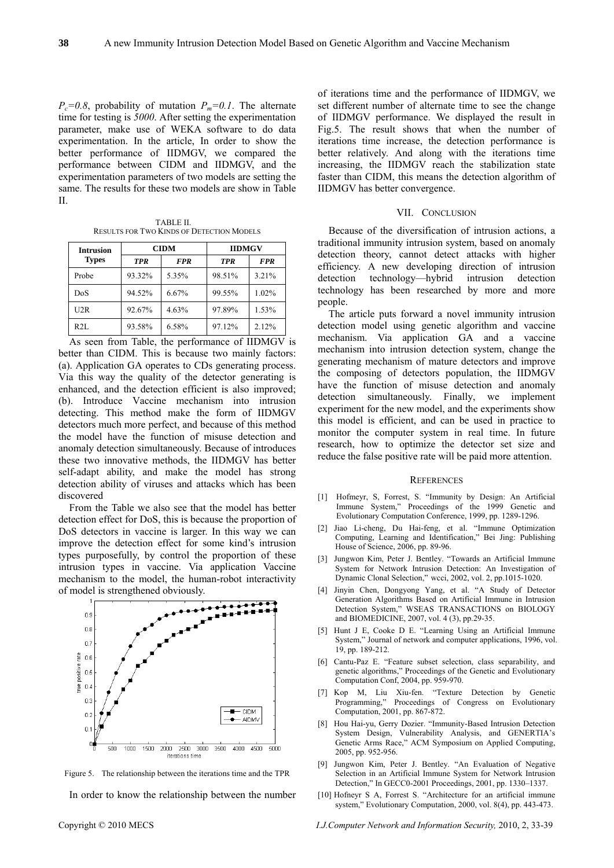$P_c=0.8$ , probability of mutation  $P_m=0.1$ . The alternate time for testing is *5000*. After setting the experimentation parameter, make use of WEKA software to do data experimentation. In the article, In order to show the better performance of IIDMGV, we compared the performance between CIDM and IIDMGV, and the experimentation parameters of two models are setting the same. The results for these two models are show in Table II.

TABLE II. RESULTS FOR TWO KINDS OF DETECTION MODELS

| <b>Intrusion</b><br><b>Types</b> | <b>CIDM</b> |            | <b>IIDMGV</b> |            |
|----------------------------------|-------------|------------|---------------|------------|
|                                  | <b>TPR</b>  | <b>FPR</b> | <b>TPR</b>    | <b>FPR</b> |
| Probe                            | 93.32%      | 5.35%      | 98.51%        | 3.21%      |
| DoS                              | 94.52%      | 6.67%      | 99.55%        | 1.02%      |
| U2R                              | 92.67%      | 4.63%      | 97.89%        | 1.53%      |
| R2L                              | 93.58%      | 6.58%      | 97.12%        | 2.12%      |

As seen from Table, the performance of IIDMGV is better than CIDM. This is because two mainly factors: (a). Application GA operates to CDs generating process. Via this way the quality of the detector generating is enhanced, and the detection efficient is also improved; (b). Introduce Vaccine mechanism into intrusion detecting. This method make the form of IIDMGV detectors much more perfect, and because of this method the model have the function of misuse detection and anomaly detection simultaneously. Because of introduces these two innovative methods, the IIDMGV has better self-adapt ability, and make the model has strong detection ability of viruses and attacks which has been discovered

From the Table we also see that the model has better detection effect for DoS, this is because the proportion of DoS detectors in vaccine is larger. In this way we can improve the detection effect for some kind's intrusion types purposefully, by control the proportion of these intrusion types in vaccine. Via application Vaccine mechanism to the model, the human-robot interactivity of model is strengthened obviously.



Figure 5. The relationship between the iterations time and the TPR

In order to know the relationship between the number

of iterations time and the performance of IIDMGV, we set different number of alternate time to see the change of IIDMGV performance. We displayed the result in Fig.5. The result shows that when the number of iterations time increase, the detection performance is better relatively. And along with the iterations time increasing, the IIDMGV reach the stabilization state faster than CIDM, this means the detection algorithm of IIDMGV has better convergence.

# VII. CONCLUSION

Because of the diversification of intrusion actions, a traditional immunity intrusion system, based on anomaly detection theory, cannot detect attacks with higher efficiency. A new developing direction of intrusion detection technology—hybrid intrusion detection technology has been researched by more and more people.

The article puts forward a novel immunity intrusion detection model using genetic algorithm and vaccine mechanism. Via application GA and a vaccine mechanism into intrusion detection system, change the generating mechanism of mature detectors and improve the composing of detectors population, the IIDMGV have the function of misuse detection and anomaly detection simultaneously. Finally, we implement experiment for the new model, and the experiments show this model is efficient, and can be used in practice to monitor the computer system in real time. In future research, how to optimize the detector set size and reduce the false positive rate will be paid more attention.

#### **REFERENCES**

- [1] Hofmeyr, S, Forrest, S. "Immunity by Design: An Artificial Immune System," Proceedings of the 1999 Genetic and Evolutionary Computation Conference, 1999, pp. 1289-1296.
- [2] Jiao Li-cheng, Du Hai-feng, et al. "Immune Optimization Computing, Learning and Identification," Bei Jing: Publishing House of Science, 2006, pp. 89-96.
- [3] Jungwon Kim, Peter J. Bentley. "Towards an Artificial Immune System for Network Intrusion Detection: An Investigation of Dynamic Clonal Selection," wcci, 2002, vol. 2, pp.1015-1020.
- [4] Jinyin Chen, Dongyong Yang, et al. "A Study of Detector Generation Algorithms Based on Artificial Immune in Intrusion Detection System," WSEAS TRANSACTIONS on BIOLOGY and BIOMEDICINE, 2007, vol. 4 (3), pp.29-35.
- [5] Hunt J E, Cooke D E. "Learning Using an Artificial Immune System," Journal of network and computer applications, 1996, vol. 19, pp. 189-212.
- [6] Cantu-Paz E. "Feature subset selection, class separability, and genetic algorithms," Proceedings of the Genetic and Evolutionary Computation Conf, 2004, pp. 959-970.
- [7] Kop M, Liu Xiu-fen. "Texture Detection by Genetic Programming," Proceedings of Congress on Evolutionary Computation, 2001, pp. 867-872.
- [8] Hou Hai-yu, Gerry Dozier. "Immunity-Based Intrusion Detection System Design, Vulnerability Analysis, and GENERTIA's Genetic Arms Race," ACM Symposium on Applied Computing, 2005, pp. 952-956.
- [9] Jungwon Kim, Peter J. Bentley. "An Evaluation of Negative Selection in an Artificial Immune System for Network Intrusion Detection," In GECC0-2001 Proceedings, 2001, pp. 1330–1337.
- [10] Hofneyr S A, Forrest S. "Architecture for an artificial immune system," Evolutionary Computation, 2000, vol. 8(4), pp. 443-473.

Copyright © 2010 MECS *I.J.Computer Network and Information Security,* 2010, 2, 33-39